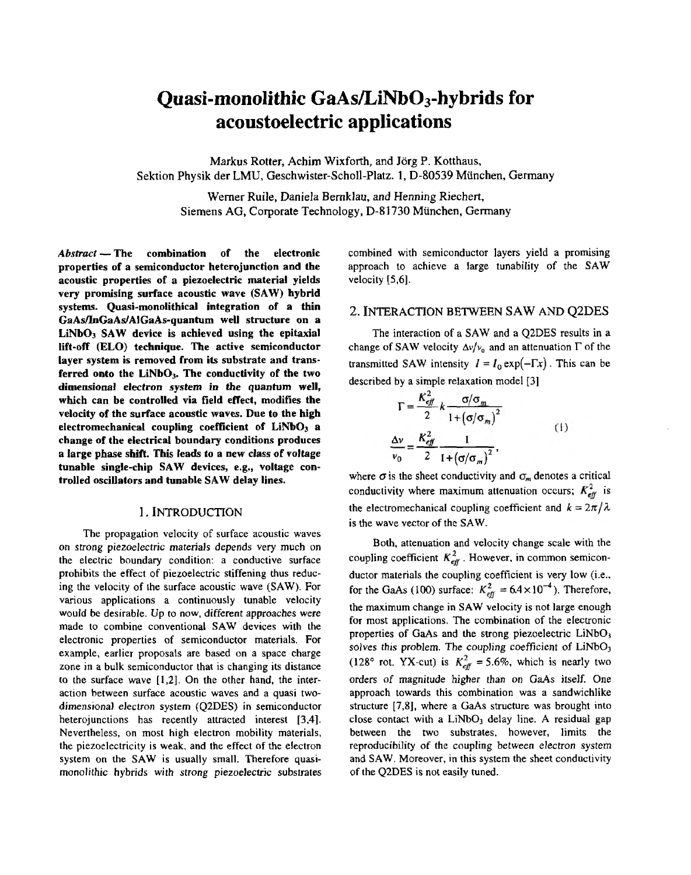# **Quasi-monolithic GaAsLiNbO3-hybrids for acoustoelectric applications**

Markus Rotter, Achim Wixforth, and Jorg P. Kotthaus, Sektion Physikder LMU, **Geschwister-Scholl-Platz.1,** D-80539 Munchen, Germany

> Werner Ruile, Daniela Bernklau, and Henning Riechert, Siemens AG, Corporate Technology, D-81730 Miinchen, Germany

Abstract-**The combination of the electronic properties of a semiconductor heterojunction and the acoustic properties of a piezoelectric material yields verypromising surface acoustic wave (SAW) hybrid systems. Quasi-monolithical integration of a thin GaA~GaAs/AIGaAs-quantumwell structure on a LiNbO3 SAW device is achieved using the epitaxial lift-off (ELO) technique. The active semiconductor layer system is removed from its substrate and transferred onto the LiNh03. The conductivity of the two dimensional electron system in the quantum well, which can be controlled via field effect, modifies the velocity of the surface acoustic waves. Due to the high electromechanical coupling coefficient of LiNbO, a change of the electrical boundary conditions produces a large phase shift. This leads to a new class of voltage tunable single-chip SAW devices, e.g., voltage controlled oscillators and tunable SAW delay lines.**

#### 1. INTRODUCTION

The propagation velocity of surface acoustic waves on strong piezoelectric materials depends very much on prohibits the effect of piezoelectric stiffening thus reducthe electric boundary condition: a conductive surface ing the velocity of the surface acoustic wave **(SAW).** For various applications a continuously tunable velocity would be desirable. Up to now, different approaches were made to combine conventional SAW devices with the example, earlier proposals are based on a space charge electronic properties of semiconductor materials. For to the surface wave [1,2]. On the other hand, the interzone in a bulk semiconductor that is changing its distance dimensional electron system (Q2DES) in semiconductor action between surface acoustic waves and a quasi twoheterojunctions has recently attracted interest [3,4]. Nevertheless, on most high electron mobility materials, the piezoelectricity is weak, and the effect of the electron system on the SAW is usually small. Therefore quasimonolithic hybrids with strong piezoelectric substrates combined with semiconductor layers yield a promising approach to achieve a large tunability of the SAW velocity *[5,6].*

#### 2. INTERACTION **BETWEEN SAW AND** Q2DES

The interaction of a **SAW** and a Q2DES results in a change of SAW velocity  $\Delta v/v_0$  and an attenuation  $\Gamma$  of the transmitted SAW intensity  $I = I_0 \exp(-\Gamma x)$ . This can be described by a simple relaxation model **[3]**

$$
\Gamma = \frac{K_{\text{eff}}^2}{2} k \frac{\sigma/\sigma_m}{1 + (\sigma/\sigma_m)^2}
$$
  

$$
\frac{\Delta v}{v_0} = \frac{K_{\text{eff}}^2}{2} \frac{1}{1 + (\sigma/\sigma_m)^2},
$$
 (1)

where  $\sigma$  is the sheet conductivity and  $\sigma_m$  denotes a critical conductivity where maximum attenuation occurs;  $K_{\text{eff}}^2$  is the electromechanical coupling coefficient and  $k = 2\pi/\lambda$ is the wave vector of the SAW.

Both, attenuation and velocity change scale with the coupling coefficient  $K_{\text{eff}}^2$ . However, in common semiconductor materials the coupling coefficient is very low (i.e., for the GaAs (100) surface:  $K_{\text{eff}}^2 = 6.4 \times 10^{-4}$ ). Therefore, the maximum change in **SAW** velocity is not large enough for most applications. The combination **of** the electronic properties of GaAs and the strong piezoelectric LiNbO<sub>3</sub> solves this problem. The coupling coefficient of  $LiNbO<sub>3</sub>$ (128° rot. YX-cut) is  $K_{\text{eff}}^2$  = 5.6%, which is nearly two orders of magnitude higher than on GaAs itself. One approach towards this combination was a sandwichlike close contact with a  $LiNbO<sub>3</sub>$  delay line. A residual gap structure [7,8], where a GaAs structure was brought into reproducibility of the coupling between electron system between the two substrates, however, limits the and **SAW.** Moreover, in this system the sheet conductivity of the Q2DES is not easily tuned.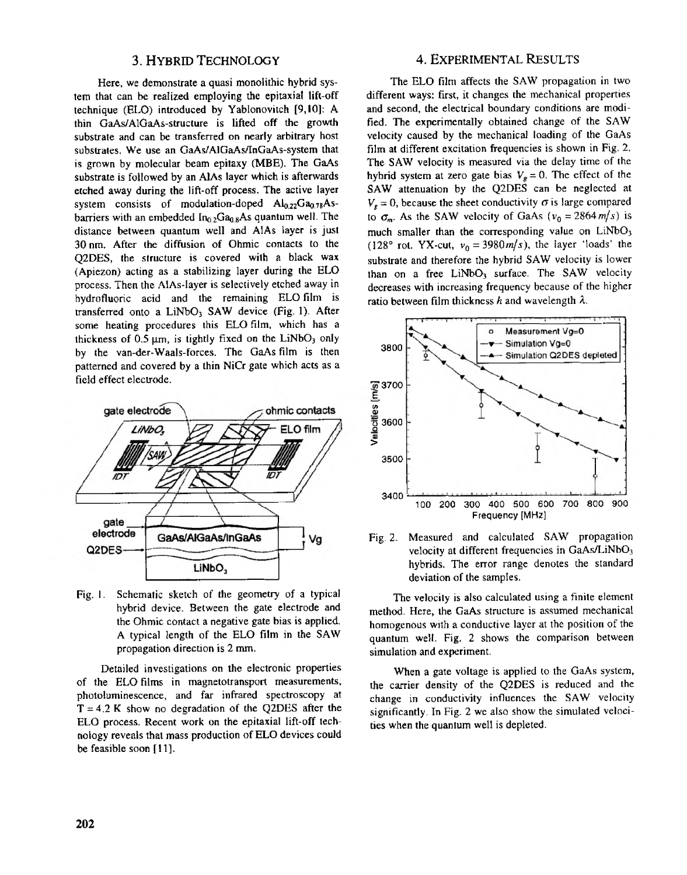### 3. HYBRID TECHNOLOGY

Here, we demonstrate a quasi monolithic hybrid system that can be realized employing the epitaxial lift-off technique (ELO) introduced by Yablonovitch [9,10]: A thin GaAs/AlGaAs-structure is lifted off the growth substrate and can be transferred on nearly arbitrary host substrates. We use an **GaAslAlGaAsAnCaAs-system** that is grown by molecular beam epitaxy (MBE). The GaAs substrate is followed by an AlAs layer which is afterwards etched away during the lift-off process. The active layer system consists of modulation-doped  $\mathbf{Al}_{0.22}\mathbf{Ga}_{0.78}\mathbf{As}$ barriers with an embedded  $In_{0.2}Ga_{0.8}As$  quantum well. The distance between quantum well and AlAs layer is just 30 nm. After the diffusion of Ohmic contacts to the Q2DES, the structure is covered with a black wax (Apiezon) acting as a stabilizing layer during the ELO process. Then the AIAs-layer is selectively etched away in hydrofluoric acid and the remaining ELO film is transferred onto a LiNbO<sub>3</sub> SAW device (Fig. 1). After some heating procedures this ELO film, which has a thickness of 0.5  $\mu$ m, is tightly fixed on the LiNbO<sub>3</sub> only by the van-der-Waals-forces. The GaAs film is then patterned and covered by a thin NiCr gate which acts as a field effect electrode.



Fig. 1. Schematic sketch of the geometry of a typical hybrid device. Between the gate electrode and the Ohmic contact a negative gate bias is applied. A typical length of the ELO film in the SAW propagation direction is 2 mm.

Detailed investigations on the electronic properties of the ELO films in magnetotransport measurements, photoluminescence, and far infrared spectroscopy at  $T = 4.2$  K show no degradation of the Q2DES after the ELO process. Recent work on the epitaxial lift-off technology reveals that mass production of ELO devices could be feasible soon**[l l].**

### **4. EXPERIMENTAL RESULTS**

The EL0 film affects the SAW propagation in two different ways: first, it changes the mechanical properties and second, the electrical boundary conditions are modified. The experimentally obtained change of the SAW velocity caused by the mechanical loading of the GaAs film at different excitation frequencies is shown in [Fig.](#page--1-0) 2. The SAW velocity is measured via the delay time of the hybrid system at zero gate bias  $V_g = 0$ . The effect of the SAW attenuation by the Q2DES can be neglected at  $V_g = 0$ , because the sheet conductivity  $\sigma$  is large compared to  $\sigma_m$ . As the SAW velocity of GaAs ( $v_0 = 2864 \text{ m/s}$ ) is much smaller than the corresponding value on  $LiNbO<sub>3</sub>$ (128° rot. YX-cut,  $v_0 = 3980 \frac{m}{s}$ ), the layer 'loads' the substrate and therefore the hybrid SAW velocity is lower than on a free LiNbO<sub>3</sub> surface. The SAW velocity decreases with increasing frequency because of the higher ratio between film thickness  $h$  and wavelength  $\lambda$ .



[Fig.](#page--1-0) 2. Measured and calculated SAW propagation velocity at different frequencies in GaAs/LiNbO<sub>3</sub> hybrids. The error range denotes the standard deviation of the samples.

method. Here, the GaAs structue is assumed mechanical The velocity is also calculated using a finite element homogenous with a conductive layer at the position of the quantum well. Fig. 2 shows the comparison between simulation and experiment.

When a gate voltage is applied to the **GaAs** system, the carrier density of the Q2DES is reduced and the change in conductivity influences the SAW velocity significantly. In [Fig.](#page--1-0) 2 we **also** show the simulated velocities when the quantum well is depleted.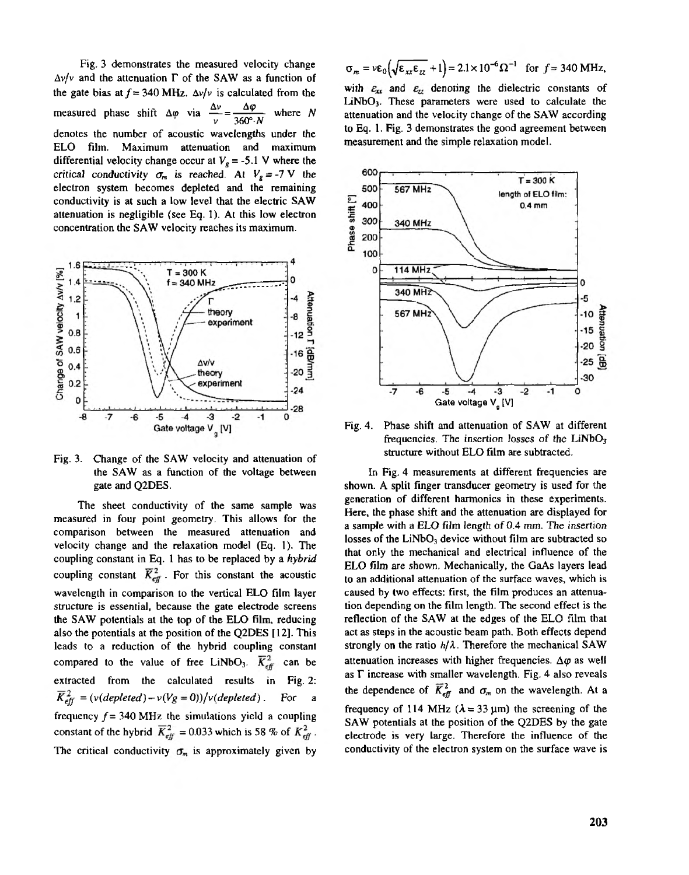[Fig.](#page--1-0) **3** demonstrates the measured velocity change  $\Delta v/v$  and the attenuation  $\Gamma$  of the SAW as a function of the gate bias at  $f = 340$  MHz.  $\Delta v/v$  is calculated from the measured phase shift  $\Delta \varphi$  via  $\frac{\Delta \varphi}{\nu} = \frac{\Delta \varphi}{360^\circ \cdot N}$  where *N* denotes the number of acoustic wavelengths under the EL0 film. Maximum attenuation and maximum differential velocity change occur at  $V_g = -5.1$  V where the critical conductivity  $\sigma_m$  is reached. At  $V_g = -7$  V the electron system becomes depleted and the remaining conductivity is at such a low level that the electric SAW attenuation **is** negligible (see Eq. **l).** At this low electron concentration the SAW velocity reaches its maximum.



[Fig.](#page--1-0) 3. Change of the SAW velocity and attenuation of the SAW as a function of the voltage between gate and QZDES.

measured in four point geometry. This allows for the The sheet conductivity of the same sample was comparison between the measured attenuation and velocity change and the relaxation model (Eq. **I) .** The coupling constant in **Eq.** 1 has to be replaced by a hybrid coupling constant  $\overline{K}_{\text{eff}}^2$ . For this constant the acoustic wavelength in comparison to the vertical EL0 film layer structure is essential, because the gate electrode screens the SAW potentials at the top of the ELO film, reducing also the potentials at the position of the Q2DES **[12].** This leads to a reduction of the hybrid coupling constant compared to the value of free LiNbO<sub>3</sub>.  $\overline{K}_{\text{eff}}^2$  can be extracted from the calculated results in Fig. 2:<br> $\overline{K}^2 = (v(denlead) - v(l/a = 0))/v(denlated)$  For a  $\overline{K}_{\text{eff}}^2 = (v(\text{depleted}) - v(V_g = 0))/v(\text{depleted})$ . For a frequency  $f = 340 \text{ MHz}$  the simulations yield a coupling constant of the hybrid  $\overline{K}_{\text{eff}}^2$  = 0.033 which is 58 % of  $K_{\text{eff}}^2$ . The critical conductivity  $\sigma_m$  is approximately given by

 $\sigma_m = v \epsilon_0 \left( \sqrt{\epsilon_{xx} \epsilon_{zz}} + 1 \right) = 2.1 \times 10^{-6} \Omega^{-1}$  for  $f = 340$  MHz,

LiNbO<sub>3</sub>. These parameters were used to calculate the with  $\varepsilon_{xx}$  and  $\varepsilon_{zz}$  denoting the dielectric constants of attenuation and the velocity change of the SAW according **to** Eq. **1.** [Fig.](#page--1-0) **3** demonstrates the good agreement between measurement and the simple relaxation model.

![](_page_2_Figure_6.jpeg)

[Fig.](#page--1-0) 4. Phase shift and attenuation of SAW at different frequencies. The insertion losses of the  $LiNbO<sub>3</sub>$ structure without EL0 film are subtracted.

In [Fig.](#page--1-0) **4** measurements at different frequencies are shown. A split finger transducer geometry is used for the generation **of** different harmonics in these experiments. Here, the phase shift and the attenuation are displayed for a sample with a EL0 film length of 0.4mm. The insertion **losses** of the LiNbO, device without film aresubtracted *so* EL0 film are shown. Mechanically, the **GaAs** layers lead that only the mechanical and electrical influence of the to an additional attenuation of the surface waves, which is caused by two effects: first, the film produces an attenuareflection **of** the SAW at the edges of the EL0 film that tion depending on the film length. The second effect is the act **as** steps in the acoustic beam path. Both effects depend strongly on the ratio  $h/\lambda$ . Therefore the mechanical SAW attenuation increases with higher frequencies.  $\Delta\varphi$  as well as  $\Gamma$  increase with smaller wavelength. [Fig.](#page--1-0) 4 also reveals the dependence of  $\overline{K}_{\text{eff}}^2$  and  $\sigma_m$  on the wavelength. At a frequency of 114 MHz  $(\lambda = 33 \text{ µm})$  the screening of the SAW potentials at the position of the Q2DES by the gate electrode is very large. Therefore the influence of the conductivity of the electron system on the surface wave is